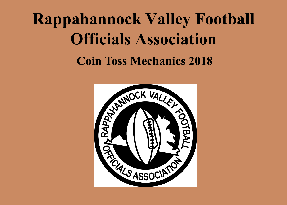# **Rappahannock Valley Football Officials Association Coin Toss Mechanics 2018**

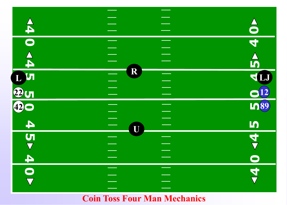

#### **Coin Toss Four Man Mechanics**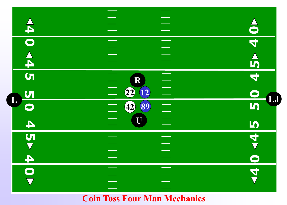

#### **Coin Toss Four Man Mechanics**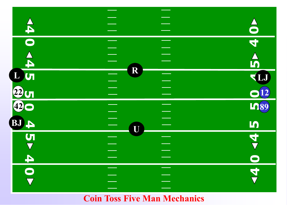

# **Coin Toss Five Man Mechanics**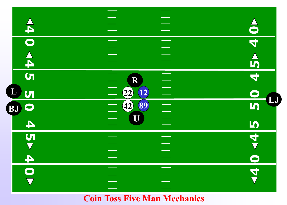

# **Coin Toss Five Man Mechanics**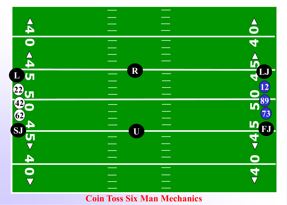

# **Coin Toss Six Man Mechanics**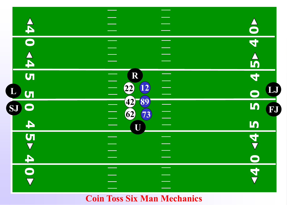

#### **Coin Toss Six Man Mechanics**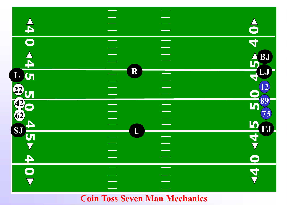

## **Coin Toss Seven Man Mechanics**